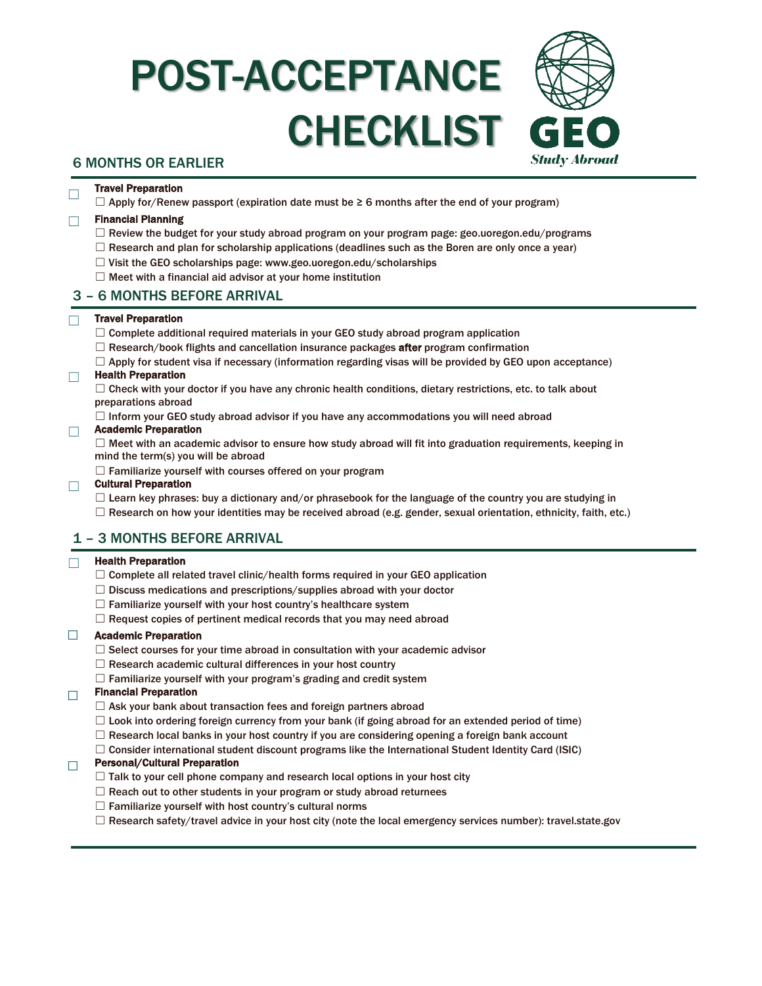# POST-ACCEPTANCE CHECKLIST



## 6 MONTHS OR EARLIER

## □ Travel Preparation

 $\Box$  Apply for/Renew passport (expiration date must be  $\geq 6$  months after the end of your program)

### ☐ Financial Planning

- $\Box$  Review the budget for your study abroad program on your program page: geo.uoregon.edu/programs
- $\Box$  Research and plan for scholarship applications (deadlines such as the Boren are only once a year)
- ☐ Visit the GEO scholarships page: www.geo.uoregon.edu/scholarships
- $\Box$  Meet with a financial aid advisor at your home institution

## 3 – 6 MONTHS BEFORE ARRIVAL

#### ☐ Travel Preparation

- $\Box$  Complete additional required materials in your GEO study abroad program application
- $\Box$  Research/book flights and cancellation insurance packages **after** program confirmation
- $\Box$  Apply for student visa if necessary (information regarding visas will be provided by GEO upon acceptance)

## ☐ Health Preparation

□ Check with your doctor if you have any chronic health conditions, dietary restrictions, etc. to talk about preparations abroad

 $\Box$  Inform your GEO study abroad advisor if you have any accommodations you will need abroad

#### ☐ Academic Preparation

 $\Box$  Meet with an academic advisor to ensure how study abroad will fit into graduation requirements, keeping in mind the term(s) you will be abroad

 $\Box$  Familiarize yourself with courses offered on your program

## ☐ Cultural Preparation

 $\Box$  Learn key phrases: buy a dictionary and/or phrasebook for the language of the country you are studying in

 $\Box$  Research on how your identities may be received abroad (e.g. gender, sexual orientation, ethnicity, faith, etc.)

## 1 – 3 MONTHS BEFORE ARRIVAL

#### $\Box$  Health Preparation

- $\Box$  Complete all related travel clinic/health forms required in your GEO application
- ☐ Discuss medications and prescriptions/supplies abroad with your doctor
- $\Box$  Familiarize yourself with your host country's healthcare system
- $\Box$  Request copies of pertinent medical records that you may need abroad

#### ☐ Academic Preparation

- $\Box$  Select courses for your time abroad in consultation with your academic advisor
- □ Research academic cultural differences in your host country
- $\Box$  Familiarize yourself with your program's grading and credit system

#### $\Box$  Financial Preparation

- $\Box$  Ask your bank about transaction fees and foreign partners abroad
- $\Box$  Look into ordering foreign currency from your bank (if going abroad for an extended period of time)
- $\Box$  Research local banks in your host country if you are considering opening a foreign bank account
- $\Box$  Consider international student discount programs like the International Student Identity Card (ISIC)

## $\Box$  Personal/Cultural Preparation

- $\Box$  Talk to your cell phone company and research local options in your host city
- $\Box$  Reach out to other students in your program or study abroad returnees
- $\Box$  Familiarize yourself with host country's cultural norms
- ☐ Research safety/travel advice in your host city (note the local emergency services number): travel.state.gov